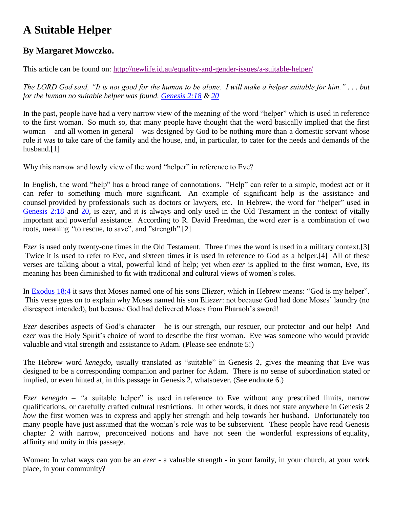## **A Suitable Helper**

## **By Margaret Mowczko.**

This article can be found on: <http://newlife.id.au/equality-and-gender-issues/a-suitable-helper/>

*The LORD God said, "It is not good for the human to be alone. I will make a helper suitable for him." . . . but for the human no suitable helper was found. [Genesis 2:18](http://biblia.com/bible/nasb95/Genesis%202.18) & [20](http://biblia.com/bible/nasb95/Genesis%202.20)*

In the past, people have had a very narrow view of the meaning of the word "helper" which is used in reference to the first woman. So much so, that many people have thought that the word basically implied that the first woman – and all women in general – was designed by God to be nothing more than a domestic servant whose role it was to take care of the family and the house, and, in particular, to cater for the needs and demands of the husband.<sup>[1]</sup>

Why this narrow and lowly view of the word "helper" in reference to Eve?

In English, the word "help" has a broad range of connotations. "Help" can refer to a simple, modest act or it can refer to something much more significant. An example of significant help is the assistance and counsel provided by professionals such as doctors or lawyers, etc. In Hebrew, the word for "helper" used in [Genesis 2:18](http://biblia.com/bible/nasb95/Genesis%202.18) and [20,](http://biblia.com/bible/nasb95/Genesis%202.20) is *ezer,* and it is always and only used in the Old Testament in the context of vitally important and powerful assistance. According to R. David Freedman, the word *ezer* is a combination of two roots, meaning *"*to rescue, to save", and "strength".[2]

*Ezer* is used only twenty-one times in the Old Testament. Three times the word is used in a military context.[3] Twice it is used to refer to Eve, and sixteen times it is used in reference to God as a helper.[4] All of these verses are talking about a vital, powerful kind of help; yet when *ezer* is applied to the first woman, Eve, its meaning has been diminished to fit with traditional and cultural views of women's roles.

In [Exodus 18:4](http://biblia.com/bible/nasb95/Exodus%2018.4) it says that Moses named one of his sons Eli*ezer,* which in Hebrew means: "God is my helper". This verse goes on to explain why Moses named his son Eli*ezer*: not because God had done Moses' laundry (no disrespect intended), but because God had delivered Moses from Pharaoh's sword!

*Ezer* describes aspects of God's character – he is our strength, our rescuer, our protector and our help! And e*zer* was the Holy Spirit's choice of word to describe the first woman. Eve was someone who would provide valuable and vital strength and assistance to Adam. (Please see endnote 5!)

The Hebrew word *kenegdo,* usually translated as "suitable" in Genesis 2, gives the meaning that Eve was designed to be a corresponding companion and partner for Adam. There is no sense of subordination stated or implied, or even hinted at, in this passage in Genesis 2, whatsoever. (See endnote 6.)

*Ezer kenegdo – "*a suitable helper" is used in reference to Eve without any prescribed limits, narrow qualifications, or carefully crafted cultural restrictions. In other words, it does not state anywhere in Genesis 2 *how* the first women was to express and apply her strength and help towards her husband. Unfortunately too many people have just assumed that the woman's role was to be subservient. These people have read Genesis chapter 2 with narrow, preconceived notions and have not seen the wonderful expressions of equality, affinity and unity in this passage.

Women: In what ways can you be an *ezer* - a valuable strength - in your family, in your church, at your work place, in your community?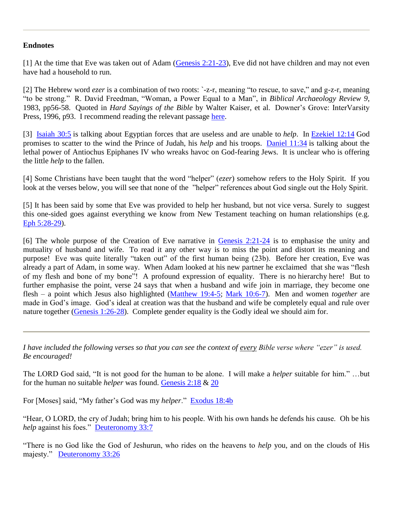## **Endnotes**

[1] At the time that Eve was taken out of Adam [\(Genesis 2:21-23\)](http://biblia.com/bible/nasb95/Genesis%202.21-23), Eve did not have children and may not even have had a household to run.

[2] The Hebrew word *ezer* is a combination of two roots: `-z-r, meaning "to rescue, to save," and g-z-r, meaning "to be strong." R. David Freedman, "Woman, a Power Equal to a Man", in *Biblical Archaeology Review 9*, 1983, pp56-58. Quoted in *Hard Sayings of the Bible* by Walter Kaiser, et al. Downer's Grove: InterVarsity Press, 1996, p93. I recommend reading the relevant passage [here.](http://books.google.com.au/books?id=2eT5CbuJCWoC&pg=PA93&dq=Hard+Sayings+of+the+Bible,+R.+David+Freedman&cd=1#v=onepage&q=&f=false)

[3] [Isaiah 30:5](http://biblia.com/bible/nasb95/Isaiah%2030.5) is talking about Egyptian forces that are useless and are unable to *help*. In [Ezekiel 12:14](http://biblia.com/bible/nasb95/Ezekiel%2012.14) God promises to scatter to the wind the Prince of Judah, his *help* and his troops. [Daniel 11:34](http://biblia.com/bible/nasb95/Daniel%2011.34) is talking about the lethal power of Antiochus Epiphanes IV who wreaks havoc on God-fearing Jews. It is unclear who is offering the little *help* to the fallen.

[4] Some Christians have been taught that the word "helper" (*ezer*) somehow refers to the Holy Spirit. If you look at the verses below, you will see that none of the "helper" references about God single out the Holy Spirit.

[5] It has been said by some that Eve was provided to help her husband, but not vice versa. Surely to suggest this one-sided goes against everything we know from New Testament teaching on human relationships (e.g. [Eph 5:28-29\)](http://biblia.com/bible/nasb95/Eph%205.28-29).

[6] The whole purpose of the Creation of Eve narrative in [Genesis 2:21-24](http://biblia.com/bible/nasb95/Genesis%202.21-24) is to emphasise the unity and mutuality of husband and wife. To read it any other way is to miss the point and distort its meaning and purpose! Eve was quite literally "taken out" of the first human being (23b). Before her creation, Eve was already a part of Adam, in some way. When Adam looked at his new partner he exclaimed that she was "flesh of my flesh and bone of my bone"! A profound expression of equality. There is no hierarchy here! But to further emphasise the point, verse 24 says that when a husband and wife join in marriage, they become one flesh – a point which Jesus also highlighted [\(Matthew 19:4-5;](http://biblia.com/bible/nasb95/Matthew%2019.4-5) [Mark 10:6-7\)](http://biblia.com/bible/nasb95/Mark%2010.6-7). Men and women *together* are made in God's image. God's ideal at creation was that the husband and wife be completely equal and rule over nature together [\(Genesis 1:26-28\)](http://biblia.com/bible/nasb95/Genesis%201.26-28). Complete gender equality is the Godly ideal we should aim for.

*I have included the following verses so that you can see the context of every Bible verse where "ezer" is used. Be encouraged!*

The LORD God said, "It is not good for the human to be alone. I will make a *helper* suitable for him." …but for the human no suitable *helper* was found. [Genesis 2:18](http://biblia.com/bible/nasb95/Genesis%202.18) & [20](http://biblia.com/bible/nasb95/Genesis%202.20)

For [Moses] said, "My father's God was my *helper*." [Exodus 18:4b](http://biblia.com/bible/nasb95/Exodus%2018.4b)

"Hear, O LORD, the cry of Judah; bring him to his people. With his own hands he defends his cause. Oh be his *help* against his foes." [Deuteronomy 33:7](http://biblia.com/bible/nasb95/Deuteronomy%2033.7)

"There is no God like the God of Jeshurun, who rides on the heavens to *help* you, and on the clouds of His majesty." [Deuteronomy 33:26](http://biblia.com/bible/nasb95/Deuteronomy%2033.26)